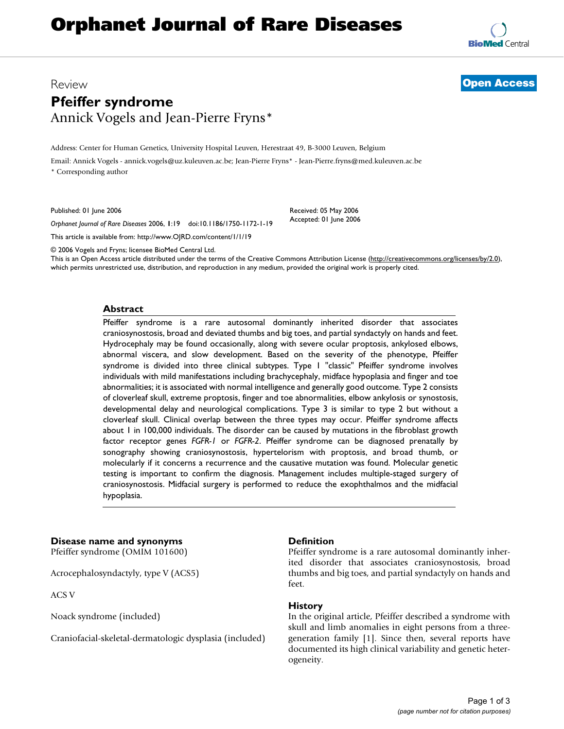# **Orphanet Journal of Rare Diseases**

**[BioMed](http://www.biomedcentral.com/)** Central

# Review **[Open Access](http://www.biomedcentral.com/info/about/charter/) Pfeiffer syndrome** Annick Vogels and Jean-Pierre Fryns\*

Address: Center for Human Genetics, University Hospital Leuven, Herestraat 49, B-3000 Leuven, Belgium

Email: Annick Vogels - annick.vogels@uz.kuleuven.ac.be; Jean-Pierre Fryns\* - Jean-Pierre.fryns@med.kuleuven.ac.be \* Corresponding author

Published: 01 June 2006

*Orphanet Journal of Rare Diseases* 2006, **1**:19 doi:10.1186/1750-1172-1-19

[This article is available from: http://www.OJRD.com/content/1/1/19](http://www.OJRD.com/content/1/1/19)

© 2006 Vogels and Fryns; licensee BioMed Central Ltd.

This is an Open Access article distributed under the terms of the Creative Commons Attribution License [\(http://creativecommons.org/licenses/by/2.0\)](http://creativecommons.org/licenses/by/2.0), which permits unrestricted use, distribution, and reproduction in any medium, provided the original work is properly cited.

Received: 05 May 2006 Accepted: 01 June 2006

#### **Abstract**

Pfeiffer syndrome is a rare autosomal dominantly inherited disorder that associates craniosynostosis, broad and deviated thumbs and big toes, and partial syndactyly on hands and feet. Hydrocephaly may be found occasionally, along with severe ocular proptosis, ankylosed elbows, abnormal viscera, and slow development. Based on the severity of the phenotype, Pfeiffer syndrome is divided into three clinical subtypes. Type 1 "classic" Pfeiffer syndrome involves individuals with mild manifestations including brachycephaly, midface hypoplasia and finger and toe abnormalities; it is associated with normal intelligence and generally good outcome. Type 2 consists of cloverleaf skull, extreme proptosis, finger and toe abnormalities, elbow ankylosis or synostosis, developmental delay and neurological complications. Type 3 is similar to type 2 but without a cloverleaf skull. Clinical overlap between the three types may occur. Pfeiffer syndrome affects about 1 in 100,000 individuals. The disorder can be caused by mutations in the fibroblast growth factor receptor genes *FGFR-1* or *FGFR-2*. Pfeiffer syndrome can be diagnosed prenatally by sonography showing craniosynostosis, hypertelorism with proptosis, and broad thumb, or molecularly if it concerns a recurrence and the causative mutation was found. Molecular genetic testing is important to confirm the diagnosis. Management includes multiple-staged surgery of craniosynostosis. Midfacial surgery is performed to reduce the exophthalmos and the midfacial hypoplasia.

# **Disease name and synonyms**

Pfeiffer syndrome (OMIM 101600)

Acrocephalosyndactyly, type V (ACS5)

ACS V

Noack syndrome (included)

Craniofacial-skeletal-dermatologic dysplasia (included)

#### **Definition**

Pfeiffer syndrome is a rare autosomal dominantly inherited disorder that associates craniosynostosis, broad thumbs and big toes, and partial syndactyly on hands and feet.

#### **History**

In the original article, Pfeiffer described a syndrome with skull and limb anomalies in eight persons from a threegeneration family [1]. Since then, several reports have documented its high clinical variability and genetic heterogeneity.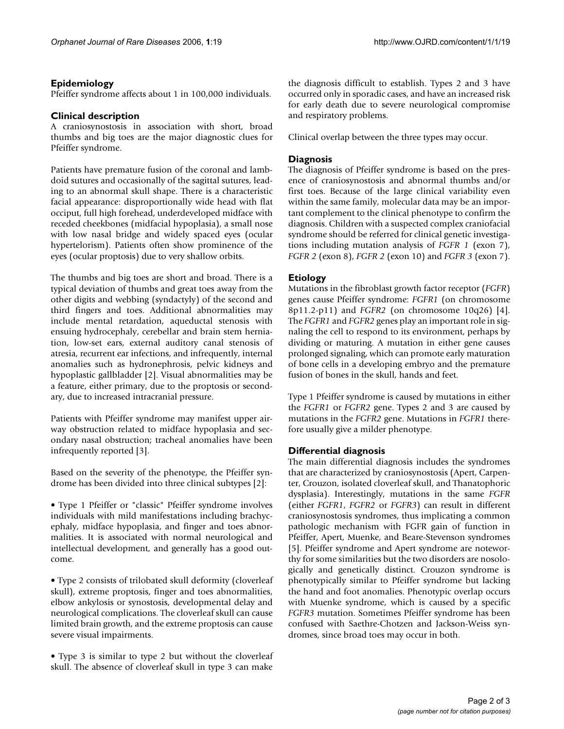# **Epidemiology**

Pfeiffer syndrome affects about 1 in 100,000 individuals.

# **Clinical description**

A craniosynostosis in association with short, broad thumbs and big toes are the major diagnostic clues for Pfeiffer syndrome.

Patients have premature fusion of the coronal and lambdoid sutures and occasionally of the sagittal sutures, leading to an abnormal skull shape. There is a characteristic facial appearance: disproportionally wide head with flat occiput, full high forehead, underdeveloped midface with receded cheekbones (midfacial hypoplasia), a small nose with low nasal bridge and widely spaced eyes (ocular hypertelorism). Patients often show prominence of the eyes (ocular proptosis) due to very shallow orbits.

The thumbs and big toes are short and broad. There is a typical deviation of thumbs and great toes away from the other digits and webbing (syndactyly) of the second and third fingers and toes. Additional abnormalities may include mental retardation, aqueductal stenosis with ensuing hydrocephaly, cerebellar and brain stem herniation, low-set ears, external auditory canal stenosis of atresia, recurrent ear infections, and infrequently, internal anomalies such as hydronephrosis, pelvic kidneys and hypoplastic gallbladder [2]. Visual abnormalities may be a feature, either primary, due to the proptosis or secondary, due to increased intracranial pressure.

Patients with Pfeiffer syndrome may manifest upper airway obstruction related to midface hypoplasia and secondary nasal obstruction; tracheal anomalies have been infrequently reported [3].

Based on the severity of the phenotype, the Pfeiffer syndrome has been divided into three clinical subtypes [2]:

• Type 1 Pfeiffer or "classic" Pfeiffer syndrome involves individuals with mild manifestations including brachycephaly, midface hypoplasia, and finger and toes abnormalities. It is associated with normal neurological and intellectual development, and generally has a good outcome.

• Type 2 consists of trilobated skull deformity (cloverleaf skull), extreme proptosis, finger and toes abnormalities, elbow ankylosis or synostosis, developmental delay and neurological complications. The cloverleaf skull can cause limited brain growth, and the extreme proptosis can cause severe visual impairments.

• Type 3 is similar to type 2 but without the cloverleaf skull. The absence of cloverleaf skull in type 3 can make the diagnosis difficult to establish. Types 2 and 3 have occurred only in sporadic cases, and have an increased risk for early death due to severe neurological compromise and respiratory problems.

Clinical overlap between the three types may occur.

## **Diagnosis**

The diagnosis of Pfeiffer syndrome is based on the presence of craniosynostosis and abnormal thumbs and/or first toes. Because of the large clinical variability even within the same family, molecular data may be an important complement to the clinical phenotype to confirm the diagnosis. Children with a suspected complex craniofacial syndrome should be referred for clinical genetic investigations including mutation analysis of *FGFR 1* (exon 7), *FGFR 2* (exon 8), *FGFR 2* (exon 10) and *FGFR 3* (exon 7).

# **Etiology**

Mutations in the fibroblast growth factor receptor (*FGFR*) genes cause Pfeiffer syndrome: *FGFR1* (on chromosome 8p11.2-p11) and *FGFR2* (on chromosome 10q26) [4]. The *FGFR1* and *FGFR2* genes play an important role in signaling the cell to respond to its environment, perhaps by dividing or maturing. A mutation in either gene causes prolonged signaling, which can promote early maturation of bone cells in a developing embryo and the premature fusion of bones in the skull, hands and feet.

Type 1 Pfeiffer syndrome is caused by mutations in either the *FGFR1* or *FGFR2* gene. Types 2 and 3 are caused by mutations in the *FGFR2* gene. Mutations in *FGFR1* therefore usually give a milder phenotype.

### **Differential diagnosis**

The main differential diagnosis includes the syndromes that are characterized by craniosynostosis (Apert, Carpenter, Crouzon, isolated cloverleaf skull, and Thanatophoric dysplasia). Interestingly, mutations in the same *FGFR* (either *FGFR1*, *FGFR2* or *FGFR3*) can result in different craniosynostosis syndromes, thus implicating a common pathologic mechanism with FGFR gain of function in Pfeiffer, Apert, Muenke, and Beare-Stevenson syndromes [5]. Pfeiffer syndrome and Apert syndrome are noteworthy for some similarities but the two disorders are nosologically and genetically distinct. Crouzon syndrome is phenotypically similar to Pfeiffer syndrome but lacking the hand and foot anomalies. Phenotypic overlap occurs with Muenke syndrome, which is caused by a specific *FGFR3* mutation. Sometimes Pfeiffer syndrome has been confused with Saethre-Chotzen and Jackson-Weiss syndromes, since broad toes may occur in both.